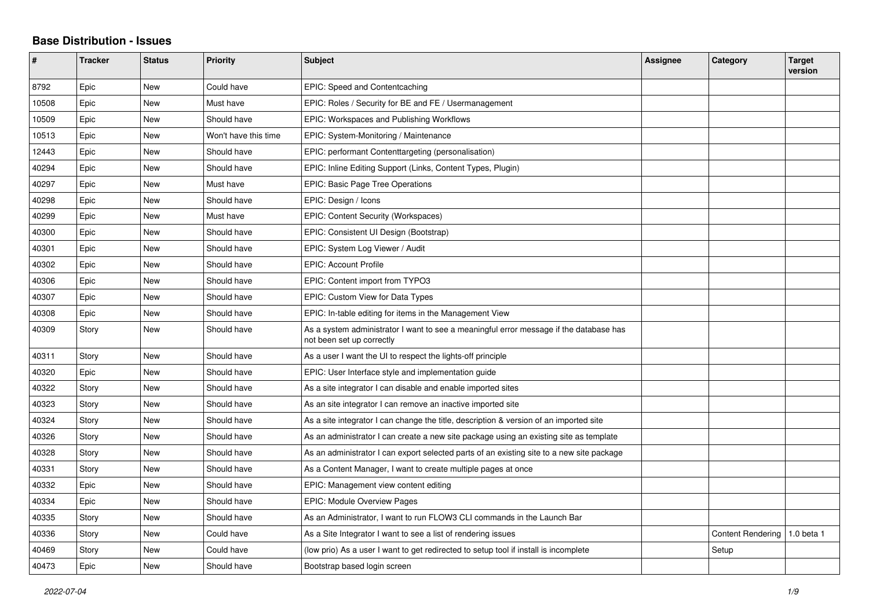## **Base Distribution - Issues**

| #     | <b>Tracker</b> | <b>Status</b> | <b>Priority</b>      | <b>Subject</b>                                                                                                      | Assignee | Category                 | <b>Target</b><br>version |
|-------|----------------|---------------|----------------------|---------------------------------------------------------------------------------------------------------------------|----------|--------------------------|--------------------------|
| 8792  | Epic           | <b>New</b>    | Could have           | EPIC: Speed and Contentcaching                                                                                      |          |                          |                          |
| 10508 | Epic           | New           | Must have            | EPIC: Roles / Security for BE and FE / Usermanagement                                                               |          |                          |                          |
| 10509 | Epic           | New           | Should have          | EPIC: Workspaces and Publishing Workflows                                                                           |          |                          |                          |
| 10513 | Epic           | New           | Won't have this time | EPIC: System-Monitoring / Maintenance                                                                               |          |                          |                          |
| 12443 | Epic           | <b>New</b>    | Should have          | EPIC: performant Contenttargeting (personalisation)                                                                 |          |                          |                          |
| 40294 | Epic           | New           | Should have          | EPIC: Inline Editing Support (Links, Content Types, Plugin)                                                         |          |                          |                          |
| 40297 | Epic           | <b>New</b>    | Must have            | <b>EPIC: Basic Page Tree Operations</b>                                                                             |          |                          |                          |
| 40298 | Epic           | New           | Should have          | EPIC: Design / Icons                                                                                                |          |                          |                          |
| 40299 | Epic           | New           | Must have            | EPIC: Content Security (Workspaces)                                                                                 |          |                          |                          |
| 40300 | Epic           | New           | Should have          | EPIC: Consistent UI Design (Bootstrap)                                                                              |          |                          |                          |
| 40301 | Epic           | <b>New</b>    | Should have          | EPIC: System Log Viewer / Audit                                                                                     |          |                          |                          |
| 40302 | Epic           | New           | Should have          | EPIC: Account Profile                                                                                               |          |                          |                          |
| 40306 | Epic           | New           | Should have          | EPIC: Content import from TYPO3                                                                                     |          |                          |                          |
| 40307 | Epic           | <b>New</b>    | Should have          | EPIC: Custom View for Data Types                                                                                    |          |                          |                          |
| 40308 | Epic           | New           | Should have          | EPIC: In-table editing for items in the Management View                                                             |          |                          |                          |
| 40309 | Story          | <b>New</b>    | Should have          | As a system administrator I want to see a meaningful error message if the database has<br>not been set up correctly |          |                          |                          |
| 40311 | Story          | <b>New</b>    | Should have          | As a user I want the UI to respect the lights-off principle                                                         |          |                          |                          |
| 40320 | Epic           | New           | Should have          | EPIC: User Interface style and implementation guide                                                                 |          |                          |                          |
| 40322 | Story          | New           | Should have          | As a site integrator I can disable and enable imported sites                                                        |          |                          |                          |
| 40323 | Story          | New           | Should have          | As an site integrator I can remove an inactive imported site                                                        |          |                          |                          |
| 40324 | Story          | New           | Should have          | As a site integrator I can change the title, description & version of an imported site                              |          |                          |                          |
| 40326 | Story          | New           | Should have          | As an administrator I can create a new site package using an existing site as template                              |          |                          |                          |
| 40328 | Story          | New           | Should have          | As an administrator I can export selected parts of an existing site to a new site package                           |          |                          |                          |
| 40331 | Story          | <b>New</b>    | Should have          | As a Content Manager, I want to create multiple pages at once                                                       |          |                          |                          |
| 40332 | Epic           | New           | Should have          | EPIC: Management view content editing                                                                               |          |                          |                          |
| 40334 | Epic           | <b>New</b>    | Should have          | <b>EPIC: Module Overview Pages</b>                                                                                  |          |                          |                          |
| 40335 | Story          | New           | Should have          | As an Administrator, I want to run FLOW3 CLI commands in the Launch Bar                                             |          |                          |                          |
| 40336 | Story          | New           | Could have           | As a Site Integrator I want to see a list of rendering issues                                                       |          | <b>Content Rendering</b> | 1.0 beta 1               |
| 40469 | Story          | New           | Could have           | (low prio) As a user I want to get redirected to setup tool if install is incomplete                                |          | Setup                    |                          |
| 40473 | Epic           | <b>New</b>    | Should have          | Bootstrap based login screen                                                                                        |          |                          |                          |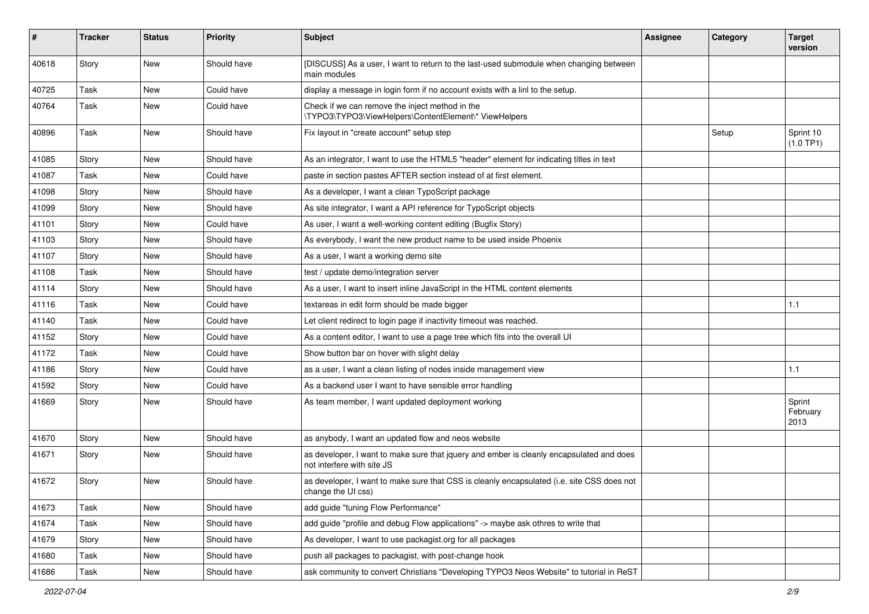| #     | <b>Tracker</b> | <b>Status</b> | <b>Priority</b> | Subject                                                                                                                | Assignee | Category | <b>Target</b><br>version   |
|-------|----------------|---------------|-----------------|------------------------------------------------------------------------------------------------------------------------|----------|----------|----------------------------|
| 40618 | Story          | <b>New</b>    | Should have     | [DISCUSS] As a user, I want to return to the last-used submodule when changing between<br>main modules                 |          |          |                            |
| 40725 | Task           | New           | Could have      | display a message in login form if no account exists with a linl to the setup.                                         |          |          |                            |
| 40764 | Task           | <b>New</b>    | Could have      | Check if we can remove the inject method in the<br>\TYPO3\TYPO3\ViewHelpers\ContentElement\* ViewHelpers               |          |          |                            |
| 40896 | Task           | <b>New</b>    | Should have     | Fix layout in "create account" setup step                                                                              |          | Setup    | Sprint 10<br>(1.0 TP1)     |
| 41085 | Story          | <b>New</b>    | Should have     | As an integrator, I want to use the HTML5 "header" element for indicating titles in text                               |          |          |                            |
| 41087 | Task           | <b>New</b>    | Could have      | paste in section pastes AFTER section instead of at first element.                                                     |          |          |                            |
| 41098 | Story          | New           | Should have     | As a developer, I want a clean TypoScript package                                                                      |          |          |                            |
| 41099 | Story          | New           | Should have     | As site integrator, I want a API reference for TypoScript objects                                                      |          |          |                            |
| 41101 | Story          | <b>New</b>    | Could have      | As user, I want a well-working content editing (Bugfix Story)                                                          |          |          |                            |
| 41103 | Story          | <b>New</b>    | Should have     | As everybody, I want the new product name to be used inside Phoenix                                                    |          |          |                            |
| 41107 | Story          | <b>New</b>    | Should have     | As a user, I want a working demo site                                                                                  |          |          |                            |
| 41108 | Task           | New           | Should have     | test / update demo/integration server                                                                                  |          |          |                            |
| 41114 | Story          | New           | Should have     | As a user, I want to insert inline JavaScript in the HTML content elements                                             |          |          |                            |
| 41116 | Task           | <b>New</b>    | Could have      | textareas in edit form should be made bigger                                                                           |          |          | 1.1                        |
| 41140 | Task           | New           | Could have      | Let client redirect to login page if inactivity timeout was reached.                                                   |          |          |                            |
| 41152 | Story          | <b>New</b>    | Could have      | As a content editor, I want to use a page tree which fits into the overall UI                                          |          |          |                            |
| 41172 | Task           | New           | Could have      | Show button bar on hover with slight delay                                                                             |          |          |                            |
| 41186 | Story          | New           | Could have      | as a user, I want a clean listing of nodes inside management view                                                      |          |          | 1.1                        |
| 41592 | Story          | <b>New</b>    | Could have      | As a backend user I want to have sensible error handling                                                               |          |          |                            |
| 41669 | Story          | New           | Should have     | As team member, I want updated deployment working                                                                      |          |          | Sprint<br>February<br>2013 |
| 41670 | Story          | <b>New</b>    | Should have     | as anybody, I want an updated flow and neos website                                                                    |          |          |                            |
| 41671 | Story          | New           | Should have     | as developer, I want to make sure that jquery and ember is cleanly encapsulated and does<br>not interfere with site JS |          |          |                            |
| 41672 | Story          | New           | Should have     | as developer, I want to make sure that CSS is cleanly encapsulated (i.e. site CSS does not<br>change the UI css)       |          |          |                            |
| 41673 | Task           | New           | Should have     | add guide "tuning Flow Performance"                                                                                    |          |          |                            |
| 41674 | Task           | New           | Should have     | add guide "profile and debug Flow applications" -> maybe ask othres to write that                                      |          |          |                            |
| 41679 | Story          | New           | Should have     | As developer, I want to use packagist.org for all packages                                                             |          |          |                            |
| 41680 | Task           | New           | Should have     | push all packages to packagist, with post-change hook                                                                  |          |          |                            |
| 41686 | Task           | New           | Should have     | ask community to convert Christians "Developing TYPO3 Neos Website" to tutorial in ReST                                |          |          |                            |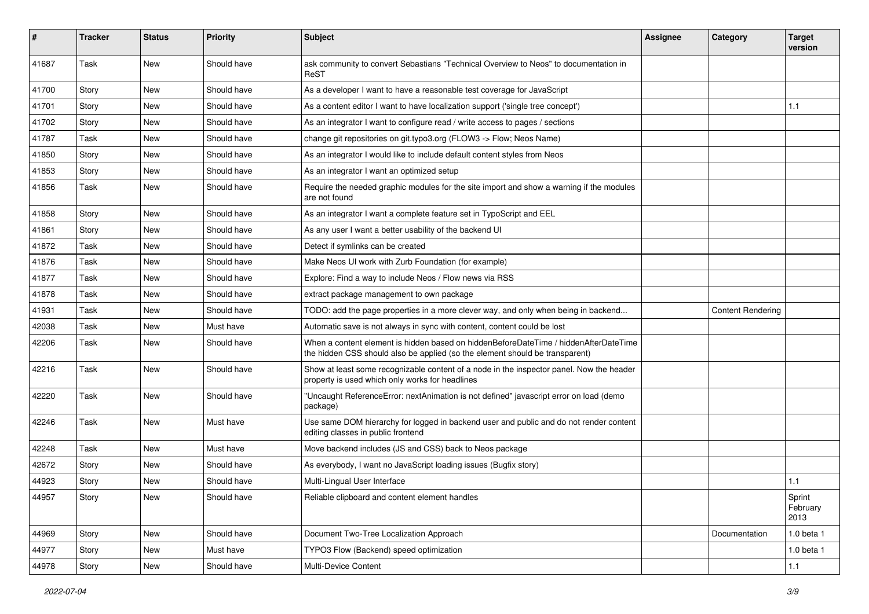| #     | <b>Tracker</b> | <b>Status</b> | <b>Priority</b> | Subject                                                                                                                                                              | <b>Assignee</b> | Category                 | <b>Target</b><br>version   |
|-------|----------------|---------------|-----------------|----------------------------------------------------------------------------------------------------------------------------------------------------------------------|-----------------|--------------------------|----------------------------|
| 41687 | Task           | <b>New</b>    | Should have     | ask community to convert Sebastians "Technical Overview to Neos" to documentation in<br>ReST                                                                         |                 |                          |                            |
| 41700 | Story          | New           | Should have     | As a developer I want to have a reasonable test coverage for JavaScript                                                                                              |                 |                          |                            |
| 41701 | Story          | <b>New</b>    | Should have     | As a content editor I want to have localization support ('single tree concept')                                                                                      |                 |                          | 1.1                        |
| 41702 | Story          | New           | Should have     | As an integrator I want to configure read / write access to pages / sections                                                                                         |                 |                          |                            |
| 41787 | Task           | <b>New</b>    | Should have     | change git repositories on git.typo3.org (FLOW3 -> Flow; Neos Name)                                                                                                  |                 |                          |                            |
| 41850 | Story          | New           | Should have     | As an integrator I would like to include default content styles from Neos                                                                                            |                 |                          |                            |
| 41853 | Story          | New           | Should have     | As an integrator I want an optimized setup                                                                                                                           |                 |                          |                            |
| 41856 | Task           | <b>New</b>    | Should have     | Require the needed graphic modules for the site import and show a warning if the modules<br>are not found                                                            |                 |                          |                            |
| 41858 | Story          | New           | Should have     | As an integrator I want a complete feature set in TypoScript and EEL                                                                                                 |                 |                          |                            |
| 41861 | Story          | <b>New</b>    | Should have     | As any user I want a better usability of the backend UI                                                                                                              |                 |                          |                            |
| 41872 | Task           | New           | Should have     | Detect if symlinks can be created                                                                                                                                    |                 |                          |                            |
| 41876 | Task           | <b>New</b>    | Should have     | Make Neos UI work with Zurb Foundation (for example)                                                                                                                 |                 |                          |                            |
| 41877 | Task           | New           | Should have     | Explore: Find a way to include Neos / Flow news via RSS                                                                                                              |                 |                          |                            |
| 41878 | Task           | New           | Should have     | extract package management to own package                                                                                                                            |                 |                          |                            |
| 41931 | Task           | <b>New</b>    | Should have     | TODO: add the page properties in a more clever way, and only when being in backend                                                                                   |                 | <b>Content Rendering</b> |                            |
| 42038 | Task           | New           | Must have       | Automatic save is not always in sync with content, content could be lost                                                                                             |                 |                          |                            |
| 42206 | Task           | New           | Should have     | When a content element is hidden based on hiddenBeforeDateTime / hiddenAfterDateTime<br>the hidden CSS should also be applied (so the element should be transparent) |                 |                          |                            |
| 42216 | Task           | <b>New</b>    | Should have     | Show at least some recognizable content of a node in the inspector panel. Now the header<br>property is used which only works for headlines                          |                 |                          |                            |
| 42220 | Task           | New           | Should have     | "Uncaught ReferenceError: nextAnimation is not defined" javascript error on load (demo<br>package)                                                                   |                 |                          |                            |
| 42246 | Task           | <b>New</b>    | Must have       | Use same DOM hierarchy for logged in backend user and public and do not render content<br>editing classes in public frontend                                         |                 |                          |                            |
| 42248 | Task           | New           | Must have       | Move backend includes (JS and CSS) back to Neos package                                                                                                              |                 |                          |                            |
| 42672 | Story          | <b>New</b>    | Should have     | As everybody, I want no JavaScript loading issues (Bugfix story)                                                                                                     |                 |                          |                            |
| 44923 | Story          | New           | Should have     | Multi-Lingual User Interface                                                                                                                                         |                 |                          | 1.1                        |
| 44957 | Story          | New           | Should have     | Reliable clipboard and content element handles                                                                                                                       |                 |                          | Sprint<br>February<br>2013 |
| 44969 | Story          | New           | Should have     | Document Two-Tree Localization Approach                                                                                                                              |                 | Documentation            | 1.0 beta 1                 |
| 44977 | Story          | New           | Must have       | TYPO3 Flow (Backend) speed optimization                                                                                                                              |                 |                          | 1.0 beta 1                 |
| 44978 | Story          | New           | Should have     | Multi-Device Content                                                                                                                                                 |                 |                          | $1.1$                      |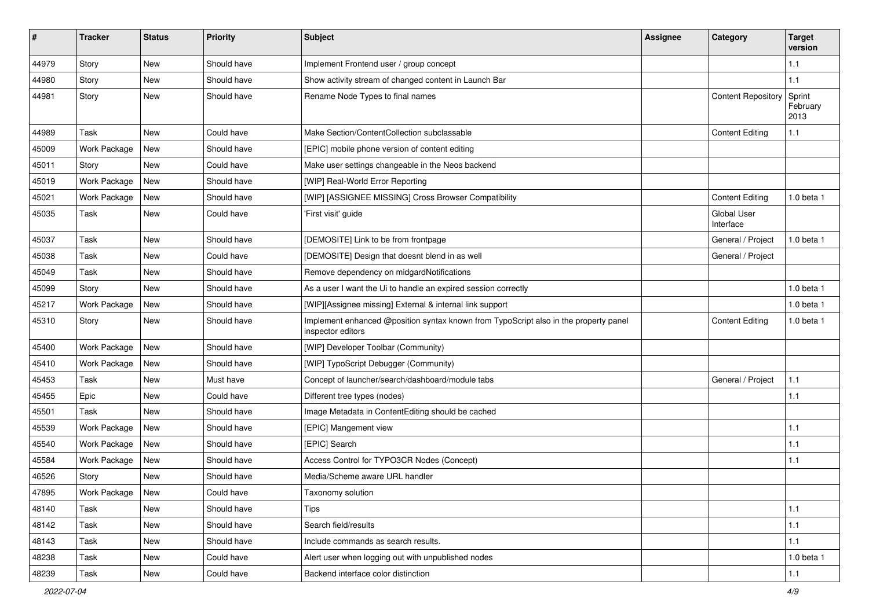| #     | <b>Tracker</b>      | <b>Status</b> | <b>Priority</b> | <b>Subject</b>                                                                                            | <b>Assignee</b> | Category                        | <b>Target</b><br>version   |
|-------|---------------------|---------------|-----------------|-----------------------------------------------------------------------------------------------------------|-----------------|---------------------------------|----------------------------|
| 44979 | Story               | <b>New</b>    | Should have     | Implement Frontend user / group concept                                                                   |                 |                                 | 1.1                        |
| 44980 | Story               | New           | Should have     | Show activity stream of changed content in Launch Bar                                                     |                 |                                 | 1.1                        |
| 44981 | Story               | <b>New</b>    | Should have     | Rename Node Types to final names                                                                          |                 | <b>Content Repository</b>       | Sprint<br>February<br>2013 |
| 44989 | Task                | <b>New</b>    | Could have      | Make Section/ContentCollection subclassable                                                               |                 | <b>Content Editing</b>          | 1.1                        |
| 45009 | <b>Work Package</b> | New           | Should have     | [EPIC] mobile phone version of content editing                                                            |                 |                                 |                            |
| 45011 | Story               | <b>New</b>    | Could have      | Make user settings changeable in the Neos backend                                                         |                 |                                 |                            |
| 45019 | Work Package        | New           | Should have     | [WIP] Real-World Error Reporting                                                                          |                 |                                 |                            |
| 45021 | Work Package        | New           | Should have     | [WIP] [ASSIGNEE MISSING] Cross Browser Compatibility                                                      |                 | <b>Content Editing</b>          | 1.0 beta 1                 |
| 45035 | Task                | <b>New</b>    | Could have      | 'First visit' guide                                                                                       |                 | <b>Global User</b><br>Interface |                            |
| 45037 | Task                | <b>New</b>    | Should have     | [DEMOSITE] Link to be from frontpage                                                                      |                 | General / Project               | 1.0 beta 1                 |
| 45038 | Task                | New           | Could have      | [DEMOSITE] Design that doesnt blend in as well                                                            |                 | General / Project               |                            |
| 45049 | Task                | New           | Should have     | Remove dependency on midgardNotifications                                                                 |                 |                                 |                            |
| 45099 | Story               | <b>New</b>    | Should have     | As a user I want the Ui to handle an expired session correctly                                            |                 |                                 | 1.0 beta 1                 |
| 45217 | Work Package        | New           | Should have     | [WIP][Assignee missing] External & internal link support                                                  |                 |                                 | 1.0 beta 1                 |
| 45310 | Story               | New           | Should have     | Implement enhanced @position syntax known from TypoScript also in the property panel<br>inspector editors |                 | <b>Content Editing</b>          | 1.0 beta 1                 |
| 45400 | Work Package        | New           | Should have     | [WIP] Developer Toolbar (Community)                                                                       |                 |                                 |                            |
| 45410 | Work Package        | New           | Should have     | [WIP] TypoScript Debugger (Community)                                                                     |                 |                                 |                            |
| 45453 | Task                | <b>New</b>    | Must have       | Concept of launcher/search/dashboard/module tabs                                                          |                 | General / Project               | 1.1                        |
| 45455 | Epic                | New           | Could have      | Different tree types (nodes)                                                                              |                 |                                 | 1.1                        |
| 45501 | Task                | <b>New</b>    | Should have     | Image Metadata in ContentEditing should be cached                                                         |                 |                                 |                            |
| 45539 | Work Package        | New           | Should have     | [EPIC] Mangement view                                                                                     |                 |                                 | 1.1                        |
| 45540 | Work Package        | New           | Should have     | [EPIC] Search                                                                                             |                 |                                 | 1.1                        |
| 45584 | Work Package        | <b>New</b>    | Should have     | Access Control for TYPO3CR Nodes (Concept)                                                                |                 |                                 | 1.1                        |
| 46526 | Story               | New           | Should have     | Media/Scheme aware URL handler                                                                            |                 |                                 |                            |
| 47895 | Work Package        | New           | Could have      | Taxonomy solution                                                                                         |                 |                                 |                            |
| 48140 | Task                | New           | Should have     | Tips                                                                                                      |                 |                                 | 1.1                        |
| 48142 | Task                | New           | Should have     | Search field/results                                                                                      |                 |                                 | 1.1                        |
| 48143 | Task                | New           | Should have     | Include commands as search results.                                                                       |                 |                                 | $1.1$                      |
| 48238 | Task                | New           | Could have      | Alert user when logging out with unpublished nodes                                                        |                 |                                 | 1.0 beta 1                 |
| 48239 | Task                | New           | Could have      | Backend interface color distinction                                                                       |                 |                                 | $1.1$                      |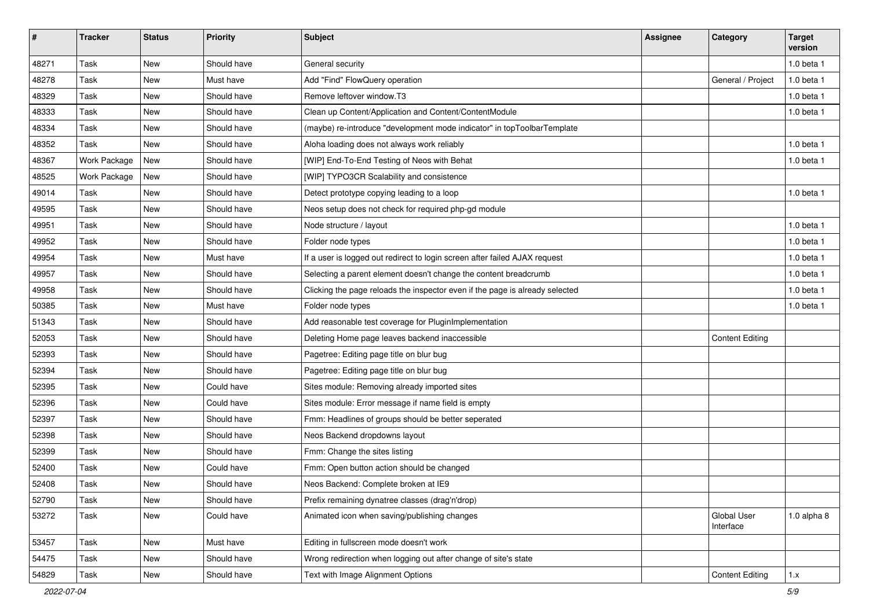| $\sharp$ | <b>Tracker</b>      | <b>Status</b> | <b>Priority</b> | <b>Subject</b>                                                               | <b>Assignee</b> | Category                 | <b>Target</b><br>version |
|----------|---------------------|---------------|-----------------|------------------------------------------------------------------------------|-----------------|--------------------------|--------------------------|
| 48271    | Task                | <b>New</b>    | Should have     | General security                                                             |                 |                          | 1.0 beta 1               |
| 48278    | Task                | <b>New</b>    | Must have       | Add "Find" FlowQuery operation                                               |                 | General / Project        | 1.0 beta 1               |
| 48329    | Task                | <b>New</b>    | Should have     | Remove leftover window.T3                                                    |                 |                          | $1.0$ beta $1$           |
| 48333    | Task                | New           | Should have     | Clean up Content/Application and Content/ContentModule                       |                 |                          | 1.0 beta 1               |
| 48334    | Task                | <b>New</b>    | Should have     | (maybe) re-introduce "development mode indicator" in topToolbarTemplate      |                 |                          |                          |
| 48352    | Task                | <b>New</b>    | Should have     | Aloha loading does not always work reliably                                  |                 |                          | 1.0 beta 1               |
| 48367    | Work Package        | New           | Should have     | [WIP] End-To-End Testing of Neos with Behat                                  |                 |                          | 1.0 beta 1               |
| 48525    | <b>Work Package</b> | <b>New</b>    | Should have     | [WIP] TYPO3CR Scalability and consistence                                    |                 |                          |                          |
| 49014    | Task                | <b>New</b>    | Should have     | Detect prototype copying leading to a loop                                   |                 |                          | 1.0 beta 1               |
| 49595    | Task                | <b>New</b>    | Should have     | Neos setup does not check for required php-gd module                         |                 |                          |                          |
| 49951    | Task                | <b>New</b>    | Should have     | Node structure / layout                                                      |                 |                          | $1.0$ beta $1$           |
| 49952    | Task                | New           | Should have     | Folder node types                                                            |                 |                          | 1.0 beta 1               |
| 49954    | Task                | New           | Must have       | If a user is logged out redirect to login screen after failed AJAX request   |                 |                          | 1.0 beta 1               |
| 49957    | Task                | New           | Should have     | Selecting a parent element doesn't change the content breadcrumb             |                 |                          | 1.0 beta 1               |
| 49958    | Task                | <b>New</b>    | Should have     | Clicking the page reloads the inspector even if the page is already selected |                 |                          | 1.0 beta 1               |
| 50385    | Task                | <b>New</b>    | Must have       | Folder node types                                                            |                 |                          | $1.0$ beta $1$           |
| 51343    | Task                | New           | Should have     | Add reasonable test coverage for PluginImplementation                        |                 |                          |                          |
| 52053    | Task                | New           | Should have     | Deleting Home page leaves backend inaccessible                               |                 | <b>Content Editing</b>   |                          |
| 52393    | Task                | <b>New</b>    | Should have     | Pagetree: Editing page title on blur bug                                     |                 |                          |                          |
| 52394    | Task                | New           | Should have     | Pagetree: Editing page title on blur bug                                     |                 |                          |                          |
| 52395    | Task                | <b>New</b>    | Could have      | Sites module: Removing already imported sites                                |                 |                          |                          |
| 52396    | Task                | <b>New</b>    | Could have      | Sites module: Error message if name field is empty                           |                 |                          |                          |
| 52397    | Task                | <b>New</b>    | Should have     | Fmm: Headlines of groups should be better seperated                          |                 |                          |                          |
| 52398    | Task                | <b>New</b>    | Should have     | Neos Backend dropdowns layout                                                |                 |                          |                          |
| 52399    | Task                | New           | Should have     | Fmm: Change the sites listing                                                |                 |                          |                          |
| 52400    | Task                | New           | Could have      | Fmm: Open button action should be changed                                    |                 |                          |                          |
| 52408    | Task                | New           | Should have     | Neos Backend: Complete broken at IE9                                         |                 |                          |                          |
| 52790    | Task                | New           | Should have     | Prefix remaining dynatree classes (drag'n'drop)                              |                 |                          |                          |
| 53272    | Task                | New           | Could have      | Animated icon when saving/publishing changes                                 |                 | Global User<br>Interface | $1.0$ alpha $8$          |
| 53457    | Task                | New           | Must have       | Editing in fullscreen mode doesn't work                                      |                 |                          |                          |
| 54475    | Task                | New           | Should have     | Wrong redirection when logging out after change of site's state              |                 |                          |                          |
| 54829    | Task                | New           | Should have     | Text with Image Alignment Options                                            |                 | <b>Content Editing</b>   | 1.x                      |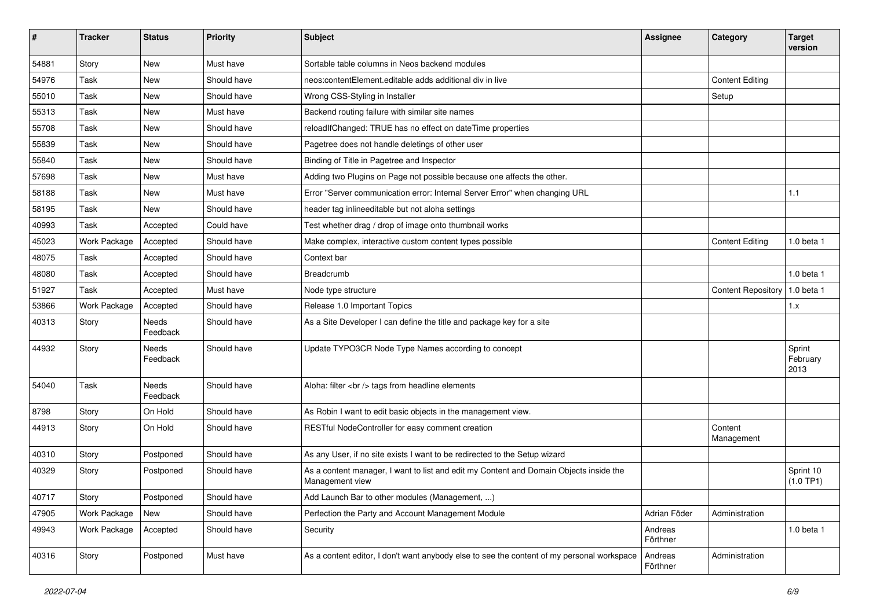| $\#$  | <b>Tracker</b>      | <b>Status</b>            | <b>Priority</b> | <b>Subject</b>                                                                                            | <b>Assignee</b>     | Category                  | <b>Target</b><br>version   |
|-------|---------------------|--------------------------|-----------------|-----------------------------------------------------------------------------------------------------------|---------------------|---------------------------|----------------------------|
| 54881 | Story               | <b>New</b>               | Must have       | Sortable table columns in Neos backend modules                                                            |                     |                           |                            |
| 54976 | Task                | <b>New</b>               | Should have     | neos:contentElement.editable adds additional div in live                                                  |                     | <b>Content Editing</b>    |                            |
| 55010 | Task                | <b>New</b>               | Should have     | Wrong CSS-Styling in Installer                                                                            |                     | Setup                     |                            |
| 55313 | Task                | New                      | Must have       | Backend routing failure with similar site names                                                           |                     |                           |                            |
| 55708 | Task                | <b>New</b>               | Should have     | reloadIfChanged: TRUE has no effect on dateTime properties                                                |                     |                           |                            |
| 55839 | Task                | <b>New</b>               | Should have     | Pagetree does not handle deletings of other user                                                          |                     |                           |                            |
| 55840 | Task                | New                      | Should have     | Binding of Title in Pagetree and Inspector                                                                |                     |                           |                            |
| 57698 | Task                | <b>New</b>               | Must have       | Adding two Plugins on Page not possible because one affects the other.                                    |                     |                           |                            |
| 58188 | Task                | New                      | Must have       | Error "Server communication error: Internal Server Error" when changing URL                               |                     |                           | 1.1                        |
| 58195 | Task                | <b>New</b>               | Should have     | header tag inlineeditable but not aloha settings                                                          |                     |                           |                            |
| 40993 | Task                | Accepted                 | Could have      | Test whether drag / drop of image onto thumbnail works                                                    |                     |                           |                            |
| 45023 | Work Package        | Accepted                 | Should have     | Make complex, interactive custom content types possible                                                   |                     | <b>Content Editing</b>    | 1.0 beta 1                 |
| 48075 | Task                | Accepted                 | Should have     | Context bar                                                                                               |                     |                           |                            |
| 48080 | Task                | Accepted                 | Should have     | <b>Breadcrumb</b>                                                                                         |                     |                           | 1.0 beta 1                 |
| 51927 | Task                | Accepted                 | Must have       | Node type structure                                                                                       |                     | <b>Content Repository</b> | 1.0 beta 1                 |
| 53866 | Work Package        | Accepted                 | Should have     | Release 1.0 Important Topics                                                                              |                     |                           | 1.x                        |
| 40313 | Story               | Needs<br>Feedback        | Should have     | As a Site Developer I can define the title and package key for a site                                     |                     |                           |                            |
| 44932 | Story               | Needs<br>Feedback        | Should have     | Update TYPO3CR Node Type Names according to concept                                                       |                     |                           | Sprint<br>February<br>2013 |
| 54040 | Task                | <b>Needs</b><br>Feedback | Should have     | Aloha: filter<br>tags from headline elements                                                              |                     |                           |                            |
| 8798  | Story               | On Hold                  | Should have     | As Robin I want to edit basic objects in the management view.                                             |                     |                           |                            |
| 44913 | Story               | On Hold                  | Should have     | RESTful NodeController for easy comment creation                                                          |                     | Content<br>Management     |                            |
| 40310 | Story               | Postponed                | Should have     | As any User, if no site exists I want to be redirected to the Setup wizard                                |                     |                           |                            |
| 40329 | Story               | Postponed                | Should have     | As a content manager, I want to list and edit my Content and Domain Objects inside the<br>Management view |                     |                           | Sprint 10<br>(1.0 TP1)     |
| 40717 | Story               | Postponed                | Should have     | Add Launch Bar to other modules (Management, )                                                            |                     |                           |                            |
| 47905 | <b>Work Package</b> | New                      | Should have     | Perfection the Party and Account Management Module                                                        | Adrian Föder        | Administration            |                            |
| 49943 | Work Package        | Accepted                 | Should have     | Security                                                                                                  | Andreas<br>Förthner |                           | 1.0 beta 1                 |
| 40316 | Story               | Postponed                | Must have       | As a content editor, I don't want anybody else to see the content of my personal workspace                | Andreas<br>Förthner | Administration            |                            |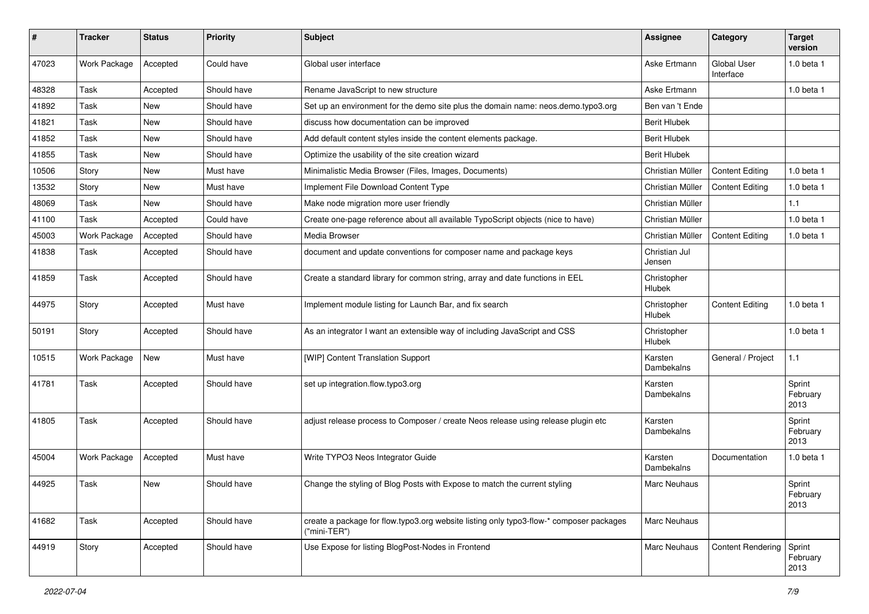| $\#$  | <b>Tracker</b> | <b>Status</b> | <b>Priority</b> | <b>Subject</b>                                                                                          | <b>Assignee</b>              | Category                 | <b>Target</b><br>version   |
|-------|----------------|---------------|-----------------|---------------------------------------------------------------------------------------------------------|------------------------------|--------------------------|----------------------------|
| 47023 | Work Package   | Accepted      | Could have      | Global user interface                                                                                   | Aske Ertmann                 | Global User<br>Interface | 1.0 beta 1                 |
| 48328 | Task           | Accepted      | Should have     | Rename JavaScript to new structure                                                                      | Aske Ertmann                 |                          | 1.0 beta 1                 |
| 41892 | Task           | New           | Should have     | Set up an environment for the demo site plus the domain name: neos.demo.typo3.org                       | Ben van 't Ende              |                          |                            |
| 41821 | Task           | New           | Should have     | discuss how documentation can be improved                                                               | <b>Berit Hlubek</b>          |                          |                            |
| 41852 | Task           | <b>New</b>    | Should have     | Add default content styles inside the content elements package.                                         | <b>Berit Hlubek</b>          |                          |                            |
| 41855 | Task           | New           | Should have     | Optimize the usability of the site creation wizard                                                      | <b>Berit Hlubek</b>          |                          |                            |
| 10506 | Story          | New           | Must have       | Minimalistic Media Browser (Files, Images, Documents)                                                   | Christian Müller             | <b>Content Editing</b>   | 1.0 beta 1                 |
| 13532 | Story          | New           | Must have       | Implement File Download Content Type                                                                    | Christian Müller             | <b>Content Editing</b>   | 1.0 beta 1                 |
| 48069 | Task           | New           | Should have     | Make node migration more user friendly                                                                  | Christian Müller             |                          | 1.1                        |
| 41100 | Task           | Accepted      | Could have      | Create one-page reference about all available TypoScript objects (nice to have)                         | Christian Müller             |                          | 1.0 beta 1                 |
| 45003 | Work Package   | Accepted      | Should have     | Media Browser                                                                                           | Christian Müller             | <b>Content Editing</b>   | 1.0 beta 1                 |
| 41838 | Task           | Accepted      | Should have     | document and update conventions for composer name and package keys                                      | Christian Jul<br>Jensen      |                          |                            |
| 41859 | Task           | Accepted      | Should have     | Create a standard library for common string, array and date functions in EEL                            | Christopher<br>Hlubek        |                          |                            |
| 44975 | Story          | Accepted      | Must have       | Implement module listing for Launch Bar, and fix search                                                 | Christopher<br><b>Hlubek</b> | <b>Content Editing</b>   | 1.0 beta 1                 |
| 50191 | Story          | Accepted      | Should have     | As an integrator I want an extensible way of including JavaScript and CSS                               | Christopher<br>Hlubek        |                          | 1.0 beta 1                 |
| 10515 | Work Package   | New           | Must have       | [WIP] Content Translation Support                                                                       | Karsten<br>Dambekalns        | General / Project        | 1.1                        |
| 41781 | Task           | Accepted      | Should have     | set up integration.flow.typo3.org                                                                       | Karsten<br>Dambekalns        |                          | Sprint<br>February<br>2013 |
| 41805 | Task           | Accepted      | Should have     | adjust release process to Composer / create Neos release using release plugin etc                       | Karsten<br>Dambekalns        |                          | Sprint<br>February<br>2013 |
| 45004 | Work Package   | Accepted      | Must have       | Write TYPO3 Neos Integrator Guide                                                                       | Karsten<br>Dambekalns        | Documentation            | 1.0 beta 1                 |
| 44925 | Task           | <b>New</b>    | Should have     | Change the styling of Blog Posts with Expose to match the current styling                               | <b>Marc Neuhaus</b>          |                          | Sprint<br>February<br>2013 |
| 41682 | Task           | Accepted      | Should have     | create a package for flow.typo3.org website listing only typo3-flow-* composer packages<br>("mini-TER") | <b>Marc Neuhaus</b>          |                          |                            |
| 44919 | Story          | Accepted      | Should have     | Use Expose for listing BlogPost-Nodes in Frontend                                                       | Marc Neuhaus                 | <b>Content Rendering</b> | Sprint<br>February<br>2013 |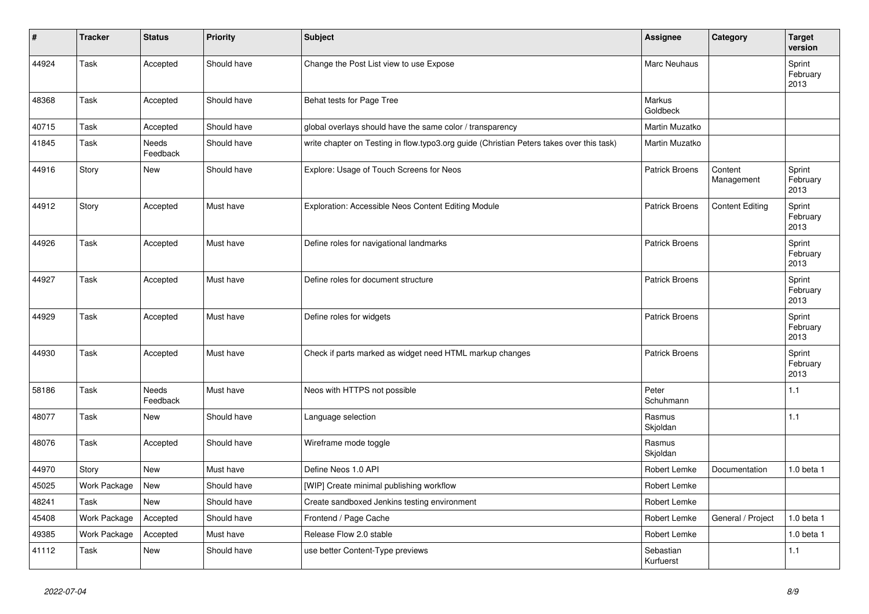| #     | <b>Tracker</b> | <b>Status</b>            | <b>Priority</b> | <b>Subject</b>                                                                           | Assignee               | Category               | <b>Target</b><br>version   |
|-------|----------------|--------------------------|-----------------|------------------------------------------------------------------------------------------|------------------------|------------------------|----------------------------|
| 44924 | Task           | Accepted                 | Should have     | Change the Post List view to use Expose                                                  | Marc Neuhaus           |                        | Sprint<br>February<br>2013 |
| 48368 | Task           | Accepted                 | Should have     | Behat tests for Page Tree                                                                | Markus<br>Goldbeck     |                        |                            |
| 40715 | Task           | Accepted                 | Should have     | global overlays should have the same color / transparency                                | Martin Muzatko         |                        |                            |
| 41845 | Task           | <b>Needs</b><br>Feedback | Should have     | write chapter on Testing in flow.typo3.org guide (Christian Peters takes over this task) | Martin Muzatko         |                        |                            |
| 44916 | Story          | <b>New</b>               | Should have     | Explore: Usage of Touch Screens for Neos                                                 | <b>Patrick Broens</b>  | Content<br>Management  | Sprint<br>February<br>2013 |
| 44912 | Story          | Accepted                 | Must have       | Exploration: Accessible Neos Content Editing Module                                      | <b>Patrick Broens</b>  | <b>Content Editing</b> | Sprint<br>February<br>2013 |
| 44926 | Task           | Accepted                 | Must have       | Define roles for navigational landmarks                                                  | <b>Patrick Broens</b>  |                        | Sprint<br>February<br>2013 |
| 44927 | Task           | Accepted                 | Must have       | Define roles for document structure                                                      | <b>Patrick Broens</b>  |                        | Sprint<br>February<br>2013 |
| 44929 | Task           | Accepted                 | Must have       | Define roles for widgets                                                                 | <b>Patrick Broens</b>  |                        | Sprint<br>February<br>2013 |
| 44930 | Task           | Accepted                 | Must have       | Check if parts marked as widget need HTML markup changes                                 | <b>Patrick Broens</b>  |                        | Sprint<br>February<br>2013 |
| 58186 | Task           | Needs<br>Feedback        | Must have       | Neos with HTTPS not possible                                                             | Peter<br>Schuhmann     |                        | 1.1                        |
| 48077 | Task           | <b>New</b>               | Should have     | Language selection                                                                       | Rasmus<br>Skjoldan     |                        | 1.1                        |
| 48076 | Task           | Accepted                 | Should have     | Wireframe mode toggle                                                                    | Rasmus<br>Skjoldan     |                        |                            |
| 44970 | Story          | New                      | Must have       | Define Neos 1.0 API                                                                      | Robert Lemke           | Documentation          | 1.0 beta 1                 |
| 45025 | Work Package   | <b>New</b>               | Should have     | [WIP] Create minimal publishing workflow                                                 | Robert Lemke           |                        |                            |
| 48241 | Task           | <b>New</b>               | Should have     | Create sandboxed Jenkins testing environment                                             | Robert Lemke           |                        |                            |
| 45408 | Work Package   | Accepted                 | Should have     | Frontend / Page Cache                                                                    | Robert Lemke           | General / Project      | 1.0 beta 1                 |
| 49385 | Work Package   | Accepted                 | Must have       | Release Flow 2.0 stable                                                                  | Robert Lemke           |                        | 1.0 beta 1                 |
| 41112 | Task           | New                      | Should have     | use better Content-Type previews                                                         | Sebastian<br>Kurfuerst |                        | 1.1                        |